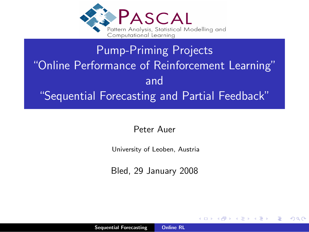

# Pump-Priming Projects "Online Performance of Reinforcement Learning" and "Sequential Forecasting and Partial Feedback"

<span id="page-0-0"></span>Peter Auer

University of Leoben, Austria

Bled, 29 January 2008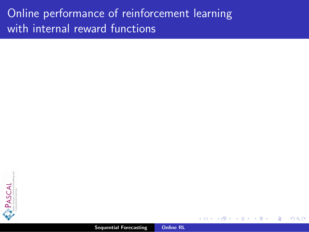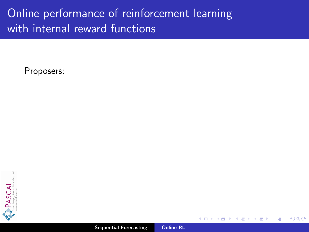Proposers:



つへへ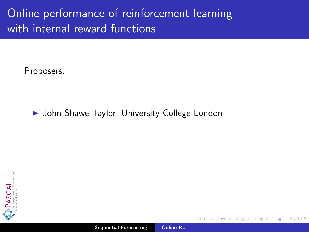Proposers:

#### ▶ John Shawe-Taylor, University College London

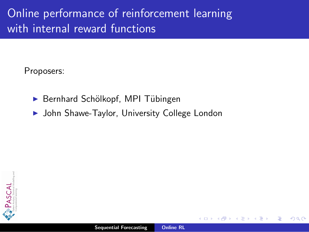Proposers:

- ▶ Bernhard Schölkopf, MPI Tübingen
- ▶ John Shawe-Taylor, University College London

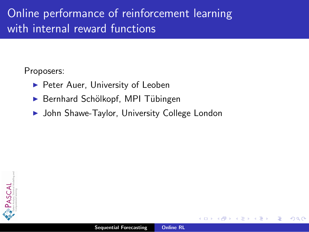Proposers:

- $\blacktriangleright$  Peter Auer, University of Leoben
- Bernhard Schölkopf, MPI Tübingen
- ▶ John Shawe-Taylor, University College London

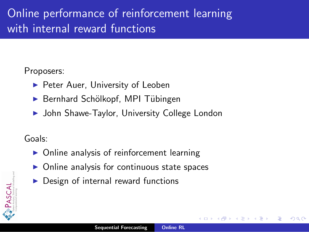#### Proposers:

- $\blacktriangleright$  Peter Auer, University of Leoben
- Bernhard Schölkopf, MPI Tübingen
- ▶ John Shawe-Taylor, University College London

#### Goals:

- Online analysis of reinforcement learning
- Online analysis for continuous state spaces
- Design of internal reward functions

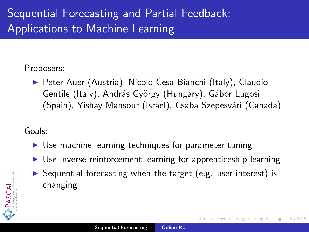# Sequential Forecasting and Partial Feedback: Applications to Machine Learning

#### Proposers:

▶ Peter Auer (Austria), Nicolò Cesa-Bianchi (Italy), Claudio Gentile (Italy), András György (Hungary), Gábor Lugosi (Spain), Yishay Mansour (Israel), Csaba Szepesvári (Canada)

Goals:

- $\triangleright$  Use machine learning techniques for parameter tuning
- $\triangleright$  Use inverse reinforcement learning for apprenticeship learning
- $\triangleright$  Sequential forecasting when the target (e.g. user interest) is changing

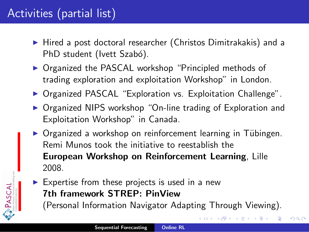# Activities (partial list)

PASCAL

- $\blacktriangleright$  Hired a post doctoral researcher (Christos Dimitrakakis) and a PhD student (Ivett Szabó).
- ▶ Organized the PASCAL workshop "Principled methods of trading exploration and exploitation Workshop" in London.
- ▶ Organized PASCAL "Exploration vs. Exploitation Challenge".
- ▶ Organized NIPS workshop "On-line trading of Exploration and Exploitation Workshop" in Canada.
- ▶ Organized a workshop on reinforcement learning in Tübingen. Remi Munos took the initiative to reestablish the European Workshop on Reinforcement Learning, Lille 2008.
- $\blacktriangleright$  Expertise from these projects is used in a new 7th framework STREP: PinView (Personal Information Navigator Adapting Through Viewing).

 $2Q$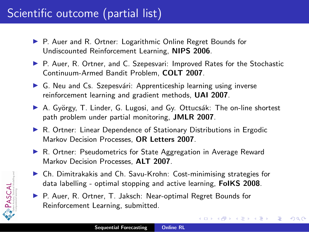# Scientific outcome (partial list)

- ▶ P. Auer and R. Ortner: Logarithmic Online Regret Bounds for Undiscounted Reinforcement Learning, NIPS 2006.
- ▶ P. Auer, R. Ortner, and C. Szepesvari: Improved Rates for the Stochastic Continuum-Armed Bandit Problem, COLT 2007.
- $\triangleright$  G. Neu and Cs. Szepesvári: Apprenticeship learning using inverse reinforcement learning and gradient methods, UAI 2007.
- ▶ A. György, T. Linder, G. Lugosi, and Gy. Ottucsák: The on-line shortest path problem under partial monitoring, JMLR 2007.
- ▶ R. Ortner: Linear Dependence of Stationary Distributions in Ergodic Markov Decision Processes, OR Letters 2007.
- ▶ R. Ortner: Pseudometrics for State Aggregation in Average Reward Markov Decision Processes, ALT 2007.
- $\triangleright$  Ch. Dimitrakakis and Ch. Savu-Krohn: Cost-minimising strategies for data labelling - optimal stopping and active learning, FolKS 2008.
- ▶ P. Auer, R. Ortner, T. Jaksch: Near-optimal Regret Bounds for Reinforcement Learning, submitted.



→ イ母 ト イ ヨ ト イ ヨ ト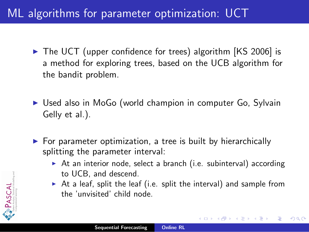## ML algorithms for parameter optimization: UCT

- $\triangleright$  The UCT (upper confidence for trees) algorithm [KS 2006] is a method for exploring trees, based on the UCB algorithm for the bandit problem.
- ► Used also in MoGo (world champion in computer Go, Sylvain Gelly et al.).
- $\triangleright$  For parameter optimization, a tree is built by hierarchically splitting the parameter interval:
	- $\triangleright$  At an interior node, select a branch (i.e. subinterval) according to UCB, and descend.
	- $\triangleright$  At a leaf, split the leaf (i.e. split the interval) and sample from the 'unvisited' child node.

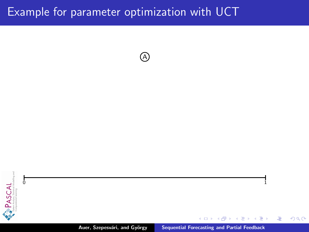A

 $\sim$  1



Auer, Szepesvári, and György [Sequential Forecasting and Partial Feedback](#page-0-0)

 $4.171 - 6$ 

A × 重 **SIL**  ∢重き

重

 $299$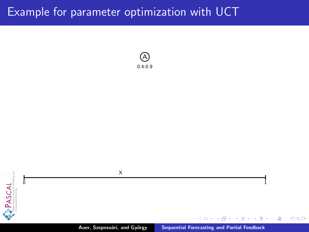





重

 $299$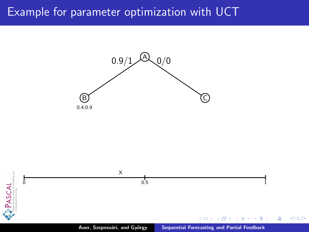

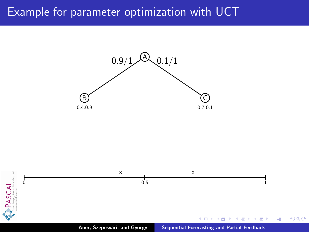

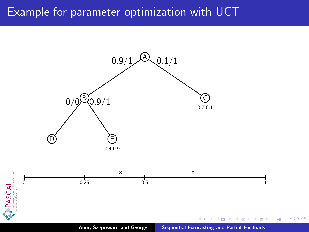

 $299$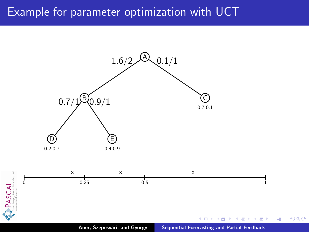

Auer, Szepesvári, and György [Sequential Forecasting and Partial Feedback](#page-0-0)

扂

 $299$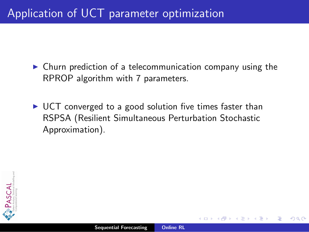## Application of UCT parameter optimization

- $\triangleright$  Churn prediction of a telecommunication company using the RPROP algorithm with 7 parameters.
- $\triangleright$  UCT converged to a good solution five times faster than RSPSA (Resilient Simultaneous Perturbation Stochastic Approximation).

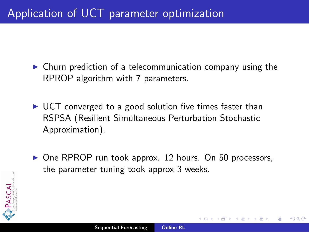## Application of UCT parameter optimization

- $\triangleright$  Churn prediction of a telecommunication company using the RPROP algorithm with 7 parameters.
- $\triangleright$  UCT converged to a good solution five times faster than RSPSA (Resilient Simultaneous Perturbation Stochastic Approximation).
- ▶ One RPROP run took approx. 12 hours. On 50 processors, the parameter tuning took approx 3 weeks.

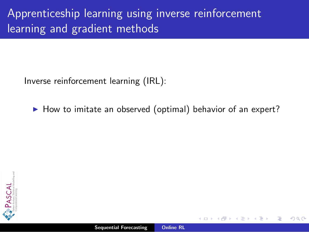Inverse reinforcement learning (IRL):

 $\blacktriangleright$  How to imitate an observed (optimal) behavior of an expert?

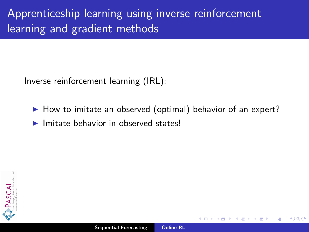Inverse reinforcement learning (IRL):

- $\blacktriangleright$  How to imitate an observed (optimal) behavior of an expert?
- $\blacktriangleright$  Imitate behavior in observed states!

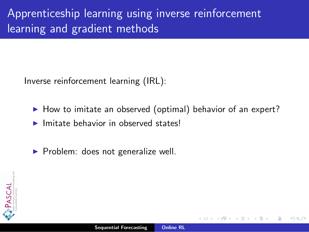Inverse reinforcement learning (IRL):

- $\blacktriangleright$  How to imitate an observed (optimal) behavior of an expert?
- $\blacktriangleright$  Imitate behavior in observed states!
- $\triangleright$  Problem: does not generalize well.

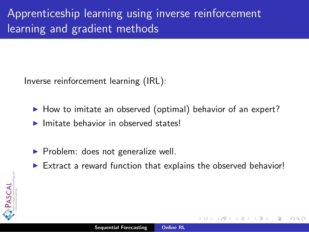Inverse reinforcement learning (IRL):

- $\blacktriangleright$  How to imitate an observed (optimal) behavior of an expert?
- $\blacktriangleright$  Imitate behavior in observed states!
- $\triangleright$  Problem: does not generalize well.
- $\triangleright$  Extract a reward function that explains the observed behavior!



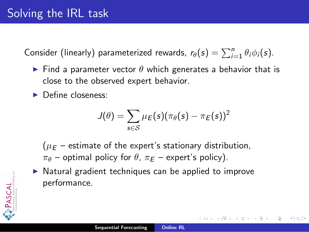Consider (linearly) parameterized rewards,  $r_{\theta}(s) = \sum_{i=1}^{n} \theta_i \phi_i(s)$ .

- Find a parameter vector  $\theta$  which generates a behavior that is close to the observed expert behavior.
- **Define closeness:**

$$
J(\theta) = \sum_{s \in \mathcal{S}} \mu_E(s) (\pi_\theta(s) - \pi_E(s))^2
$$

へのへ

 $(\mu_F -$  estimate of the expert's stationary distribution,  $\pi_{\theta}$  – optimal policy for  $\theta$ ,  $\pi_{E}$  – expert's policy).

 $\triangleright$  Natural gradient techniques can be applied to improve performance.

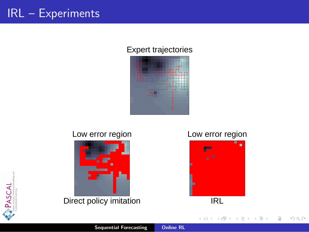## IRL – Experiments

#### Expert trajectories



#### Low error region



Direct policy imitation

#### Low error region



**K ロ ト K 倒 ト K ミ ト** 

一 4 (重) 8

E

 $299$ 



Sequential Forecasting [Online RL](#page-0-0)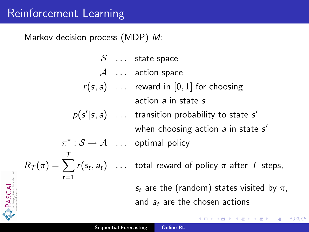PASCAL

Markov decision process (MDP) M:

$$
S \dots \text{ state space}
$$
\n
$$
A \dots \text{ action space}
$$
\n
$$
r(s, a) \dots \text{ reward in } [0, 1] \text{ for choosing action } a \text{ in state } s
$$
\n
$$
p(s'|s, a) \dots \text{ transition probability to state } s'
$$
\n
$$
\pi^* : S \to A \dots \text{ optimal policy}
$$
\n
$$
R_T(\pi) = \sum_{t=1}^T r(s_t, a_t) \dots \text{ total reward of policy } \pi \text{ after } T \text{ steps,}
$$
\n
$$
s_t \text{ are the (random) states visited by } \pi,
$$
\n
$$
\text{and } a_t \text{ are the chosen actions}
$$

 $\leftarrow$  $\sim$  $\sim$ ð  $\sim$  活

∍

 $2Q$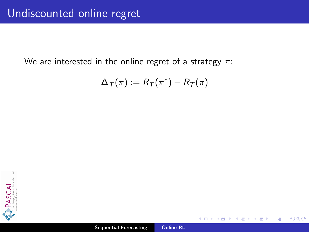We are interested in the online regret of a strategy  $\pi$ :

$$
\Delta_{\mathcal{T}}(\pi) := R_{\mathcal{T}}(\pi^*) - R_{\mathcal{T}}(\pi)
$$



 $2Q$ 

≣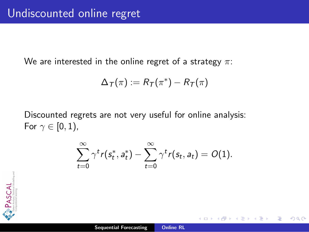We are interested in the online regret of a strategy  $\pi$ :

$$
\Delta_{\mathcal{T}}(\pi):=R_{\mathcal{T}}(\pi^*)-R_{\mathcal{T}}(\pi)
$$

Discounted regrets are not very useful for online analysis: For  $\gamma \in [0,1)$ ,

$$
\sum_{t=0}^{\infty}\gamma^t r(s_t^*,a_t^*) - \sum_{t=0}^{\infty}\gamma^t r(s_t,a_t) = O(1).
$$

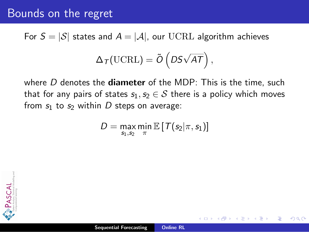#### Bounds on the regret

For  $S = |\mathcal{S}|$  states and  $A = |\mathcal{A}|$ , our UCRL algorithm achieves

$$
\Delta_{\mathcal{T}}(\mathrm{UCRL}) = \tilde{O}\left(DS\sqrt{AT}\right),\,
$$

where  $D$  denotes the **diameter** of the MDP: This is the time, such that for any pairs of states  $s_1, s_2 \in S$  there is a policy which moves from  $s_1$  to  $s_2$  within D steps on average:

$$
D = \max_{s_1, s_2} \min_{\pi} \mathbb{E}\left[\left. T(s_2 | \pi, s_1) \right] \right.
$$

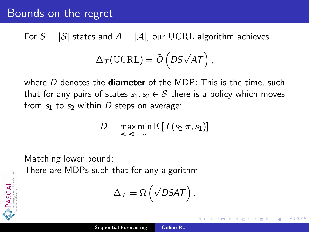#### Bounds on the regret

For  $S = |\mathcal{S}|$  states and  $A = |\mathcal{A}|$ , our UCRL algorithm achieves

$$
\Delta_{\mathcal{T}}(\mathrm{UCRL}) = \tilde{O}\left(DS\sqrt{AT}\right),\,
$$

where  $D$  denotes the **diameter** of the MDP: This is the time, such that for any pairs of states  $s_1, s_2 \in S$  there is a policy which moves from  $s_1$  to  $s_2$  within D steps on average:

$$
D = \max_{s_1, s_2} \min_{\pi} \mathbb{E}\left[\left. T(s_2 | \pi, s_1) \right] \right.
$$

Matching lower bound:

PASCAL

There are MDPs such that for any algorithm

$$
\Delta_{\mathcal{T}}=\Omega\left(\sqrt{DSAT}\right).
$$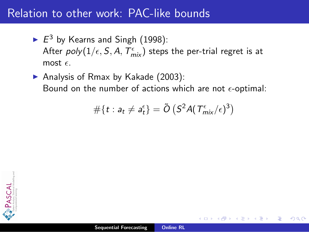- $\blacktriangleright E^3$  by Kearns and Singh (1998): After  $\mathit{poly}(1/\epsilon, \mathcal{S}, A, \mathcal{T}_{\mathsf{mix}}^\epsilon)$  steps the per-trial regret is at most  $\epsilon$ .
- Analysis of Rmax by Kakade  $(2003)$ : Bound on the number of actions which are not  $\epsilon$ -optimal:

$$
#\{t: a_t \neq a_t^{\epsilon}\} = \tilde{O}\left(S^2 A(T^{\epsilon}_{mix}/\epsilon)^3\right)
$$

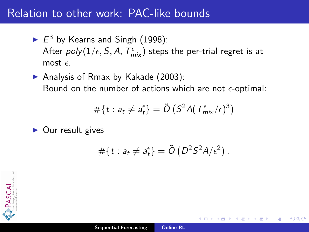- $\blacktriangleright E^3$  by Kearns and Singh (1998): After  $\mathit{poly}(1/\epsilon, \mathcal{S}, A, \mathcal{T}_{\mathsf{mix}}^\epsilon)$  steps the per-trial regret is at most  $\epsilon$ .
- Analysis of Rmax by Kakade  $(2003)$ : Bound on the number of actions which are not  $\epsilon$ -optimal:

$$
#\{t: a_t \neq a_t^{\epsilon}\} = \tilde{O}\left(S^2 A(T_{mix}^{\epsilon}/\epsilon)^3\right)
$$

 $\triangleright$  Our result gives

$$
\#\{t: a_t \neq a_t^\varepsilon\} = \tilde{O}\left(D^2 S^2 A/\varepsilon^2\right).
$$

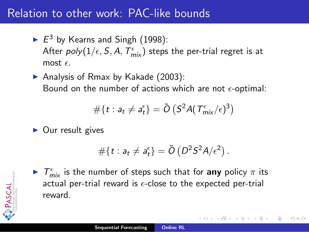- $\blacktriangleright E^3$  by Kearns and Singh (1998): After  $\mathit{poly}(1/\epsilon, \mathcal{S}, A, \mathcal{T}_{\mathsf{mix}}^\epsilon)$  steps the per-trial regret is at most  $\epsilon$ .
- Analysis of Rmax by Kakade  $(2003)$ : Bound on the number of actions which are not  $\epsilon$ -optimal:

$$
\#\{t: a_t \neq a_t^{\epsilon}\} = \tilde{O}\left(S^2 A(T_{mix}^{\epsilon}/\epsilon)^3\right)
$$

 $\triangleright$  Our result gives

$$
\#\{t: a_t \neq a_t^\epsilon\} = \tilde{O}\left(D^2 S^2 A/\epsilon^2\right).
$$



 $\blacktriangleright$   $\tau_{\text{mix}}^{\epsilon}$  is the number of steps such that for any policy  $\pi$  its actual per-trial reward is  $\epsilon$ -close to the expected per-trial reward.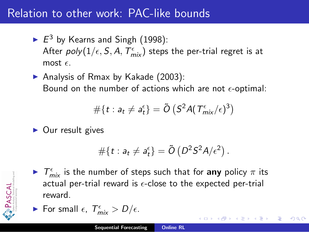- $\blacktriangleright E^3$  by Kearns and Singh (1998): After  $\mathit{poly}(1/\epsilon, \mathcal{S}, A, \mathcal{T}_{\mathsf{mix}}^\epsilon)$  steps the per-trial regret is at most  $\epsilon$ .
- Analysis of Rmax by Kakade  $(2003)$ : Bound on the number of actions which are not  $\epsilon$ -optimal:

$$
\#\{t: a_t \neq a_t^{\epsilon}\} = \tilde{O}\left(S^2 A(T_{mix}^{\epsilon}/\epsilon)^3\right)
$$

 $\triangleright$  Our result gives

$$
\#\{t: a_t \neq a_t^\epsilon\} = \tilde{O}\left(D^2 S^2 A/\epsilon^2\right).
$$



- $\blacktriangleright$   $\tau_{\text{mix}}^{\epsilon}$  is the number of steps such that for any policy  $\pi$  its actual per-trial reward is  $\epsilon$ -close to the expected per-trial reward.
- For small  $\epsilon$ ,  $T_{mix}^{\epsilon} > D/\epsilon$ .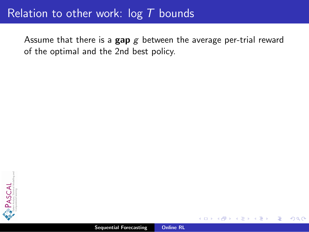Assume that there is a  $\mathbf{gap} g$  between the average per-trial reward of the optimal and the 2nd best policy.

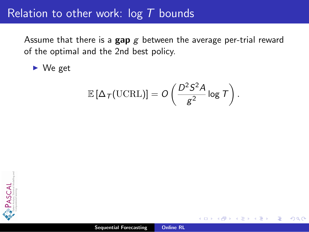Assume that there is a  $\mathbf{gap} g$  between the average per-trial reward of the optimal and the 2nd best policy.

 $\blacktriangleright$  We get

$$
\mathbb{E}\left[\Delta_{\mathcal{T}}(\text{UCRL})\right] = O\left(\frac{D^2 \mathcal{S}^2 A}{g^2} \log \mathcal{T}\right).
$$

 $2Q$ 

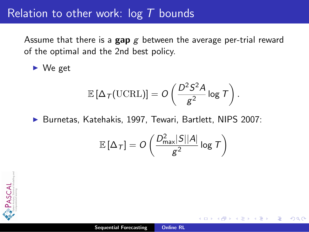Assume that there is a gap  $g$  between the average per-trial reward of the optimal and the 2nd best policy.

 $\blacktriangleright$  We get

$$
\mathbb{E}\left[\Delta_{\,\mathcal{T}}(\text{UCRL})\right]=O\left(\frac{D^2S^2A}{g^2}\log\,\mathcal{T}\right).
$$

▶ Burnetas, Katehakis, 1997, Tewari, Bartlett, NIPS 2007:

$$
\mathbb{E}\left[\Delta_{\mathcal{T}}\right] = O\left(\frac{D_{\max}^2 |S| |A|}{g^2} \log \mathcal{T}\right)
$$

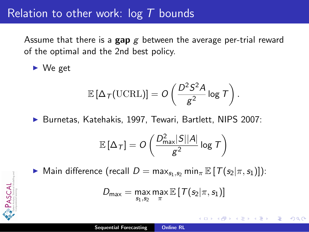Assume that there is a gap  $g$  between the average per-trial reward of the optimal and the 2nd best policy.

 $\blacktriangleright$  We get

PASCAL

$$
\mathbb{E}\left[\Delta_{\,\mathcal{T}}(\mathrm{UCRL})\right]=O\left(\frac{D^2S^2A}{g^2}\log\,\mathcal{T}\right).
$$

▶ Burnetas, Katehakis, 1997, Tewari, Bartlett, NIPS 2007:

$$
\mathbb{E}\left[\Delta_{\mathcal{T}}\right] = O\left(\frac{D_{\max}^2|S||A|}{g^2}\log \mathcal{T}\right)
$$

 $\triangleright$  Main difference (recall D = max<sub>s1,s2</sub> min<sub>π</sub>  $\mathbb{E}[T(s_2|\pi, s_1)]$ ):

$$
\mathit{D}_{\mathsf{max}} = \max_{s_1, s_2} \max_{\pi} \mathbb{E}\left[\left. \mathcal{T}(s_2|\pi, s_1) \right.\right]
$$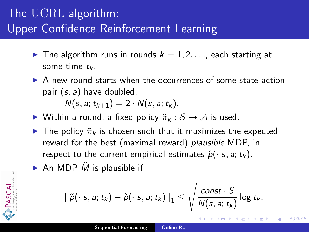# The UCRL algorithm: Upper Confidence Reinforcement Learning

- $\blacktriangleright$  The algorithm runs in rounds  $k = 1, 2, \ldots$ , each starting at some time  $t_k$ .
- $\triangleright$  A new round starts when the occurrences of some state-action pair  $(s, a)$  have doubled,

 $N(s, a; t_{k+1}) = 2 \cdot N(s, a; t_k).$ 

- $\triangleright$  Within a round, a fixed policy  $\tilde{\pi}_k : \mathcal{S} \to \mathcal{A}$  is used.
- **If** The policy  $\tilde{\pi}_k$  is chosen such that it maximizes the expected reward for the best (maximal reward) *plausible* MDP, in respect to the current empirical estimates  $\hat{p}(\cdot|s, a; t_k)$ .
- An MDP  $\tilde{M}$  is plausible if

PASCAL

$$
||\tilde{\rho}(\cdot|s,\textit{a};\textit{t}_k)-\hat{\rho}(\cdot|s,\textit{a};\textit{t}_k)||_1\leq \sqrt{\frac{\textit{const}\cdot S}{\textit{N}(s,\textit{a};\textit{t}_k)}}\log\textit{t}_k.
$$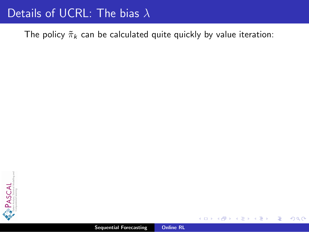## Details of UCRL: The bias λ

The policy  $\tilde{\pi}_k$  can be calculated quite quickly by value iteration:



 $2Q$ 

≣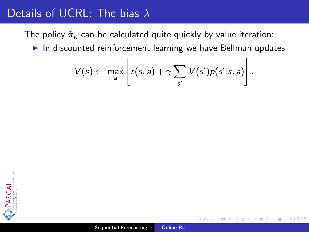The policy  $\tilde{\pi}_k$  can be calculated quite quickly by value iteration:

 $\blacktriangleright$  In discounted reinforcement learning we have Bellman updates

$$
V(s) \leftarrow \max_{a} \left[ r(s,a) + \gamma \sum_{s'} V(s')p(s'|s,a) \right].
$$

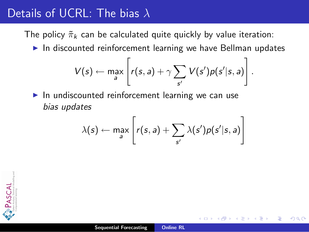The policy  $\tilde{\pi}_k$  can be calculated quite quickly by value iteration:

 $\blacktriangleright$  In discounted reinforcement learning we have Bellman updates

$$
V(s) \leftarrow \max_{a} \left[ r(s,a) + \gamma \sum_{s'} V(s')p(s'|s,a) \right].
$$

 $\blacktriangleright$  In undiscounted reinforcement learning we can use bias updates

$$
\lambda(s) \leftarrow \max_{a} \left[ r(s,a) + \sum_{s'} \lambda(s')p(s'|s,a) \right]
$$

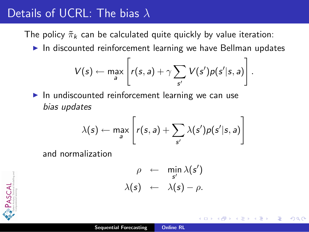The policy  $\tilde{\pi}_k$  can be calculated quite quickly by value iteration:

 $\blacktriangleright$  In discounted reinforcement learning we have Bellman updates

$$
V(s) \leftarrow \max_{a} \left[ r(s,a) + \gamma \sum_{s'} V(s')p(s'|s,a) \right].
$$

 $\blacktriangleright$  In undiscounted reinforcement learning we can use bias updates

$$
\lambda(s) \leftarrow \max_{a} \left[ r(s,a) + \sum_{s'} \lambda(s')p(s'|s,a) \right]
$$

and normalization

$$
\rho \leftarrow \min_{s'} \lambda(s') \lambda(s) \leftarrow \lambda(s) - \rho.
$$

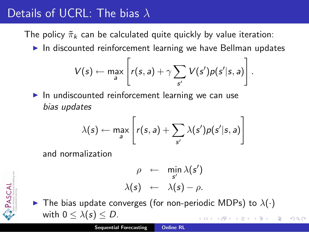The policy  $\tilde{\pi}_k$  can be calculated quite quickly by value iteration:

 $\blacktriangleright$  In discounted reinforcement learning we have Bellman updates

$$
V(s) \leftarrow \max_{a} \left[ r(s,a) + \gamma \sum_{s'} V(s')p(s'|s,a) \right].
$$

 $\blacktriangleright$  In undiscounted reinforcement learning we can use bias updates

$$
\lambda(s) \leftarrow \max_{a} \left[ r(s,a) + \sum_{s'} \lambda(s')p(s'|s,a) \right]
$$

and normalization

$$
\rho \leftarrow \min_{s'} \lambda(s') \lambda(s) \leftarrow \lambda(s) - \rho.
$$

PASCAL

 $\blacktriangleright$  The bias update converges (for non-periodic MDPs) to  $\lambda(\cdot)$ with  $0 \leq \lambda(s) \leq D$ .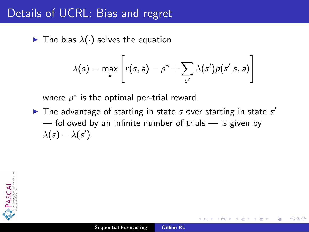## Details of UCRL: Bias and regret

 $\blacktriangleright$  The bias  $\lambda(\cdot)$  solves the equation

$$
\lambda(s) = \max_{a} \left[ r(s, a) - \rho^* + \sum_{s'} \lambda(s')p(s'|s, a) \right]
$$

where  $\rho^*$  is the optimal per-trial reward.

The advantage of starting in state  $s$  over starting in state  $s'$  $-$  followed by an infinite number of trials  $-$  is given by  $\lambda(s) - \lambda(s')$ .

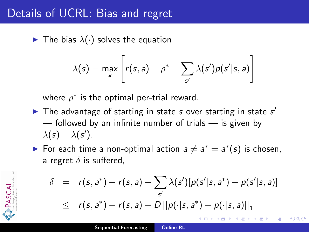## Details of UCRL: Bias and regret

PASCAL

 $\blacktriangleright$  The bias  $\lambda(\cdot)$  solves the equation

$$
\lambda(s) = \max_{a} \left[ r(s, a) - \rho^* + \sum_{s'} \lambda(s')p(s'|s, a) \right]
$$

where  $\rho^*$  is the optimal per-trial reward.

- The advantage of starting in state  $s$  over starting in state  $s'$  $-$  followed by an infinite number of trials  $-$  is given by  $\lambda(s) - \lambda(s')$ .
- For each time a non-optimal action  $a \neq a^* = a^*(s)$  is chosen, a regret  $\delta$  is suffered,

$$
\delta = r(s, a^*) - r(s, a) + \sum_{s'} \lambda(s') [p(s'|s, a^*) - p(s'|s, a)]
$$
  
 
$$
\leq r(s, a^*) - r(s, a) + D ||p(\cdot|s, a^*) - p(\cdot|s, a)||_1
$$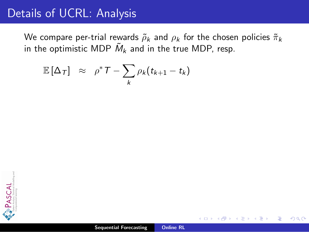We compare per-trial rewards  $\tilde{\rho}_k$  and  $\rho_k$  for the chosen policies  $\tilde{\pi}_k$ in the optimistic MDP  $\tilde{M}_k$  and in the true MDP, resp.

$$
\mathbb{E}[\Delta_{\mathcal{T}}] \;\; \approx \;\; \rho^* \mathcal{T} - \sum_k \rho_k (t_{k+1} - t_k)
$$

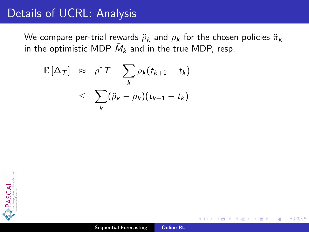We compare per-trial rewards  $\tilde{\rho}_k$  and  $\rho_k$  for the chosen policies  $\tilde{\pi}_k$ in the optimistic MDP  $\tilde{M}_k$  and in the true MDP, resp.

$$
\mathbb{E}[\Delta_{\mathcal{T}}] \approx \rho^* \mathcal{T} - \sum_{k} \rho_k (t_{k+1} - t_k)
$$
  

$$
\leq \sum_{k} (\tilde{\rho}_k - \rho_k)(t_{k+1} - t_k)
$$

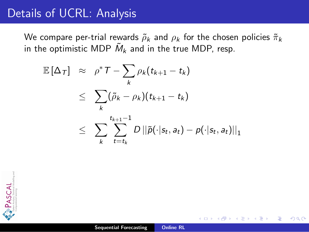We compare per-trial rewards  $\tilde{\rho}_k$  and  $\rho_k$  for the chosen policies  $\tilde{\pi}_k$ in the optimistic MDP  $\tilde{M}_k$  and in the true MDP, resp.

$$
\mathbb{E}[\Delta_{\mathcal{T}}] \approx \rho^* \mathcal{T} - \sum_{k} \rho_k (t_{k+1} - t_k)
$$
\n
$$
\leq \sum_{k} (\tilde{\rho}_k - \rho_k)(t_{k+1} - t_k)
$$
\n
$$
\leq \sum_{k} \sum_{t=t_k}^{t_{k+1}-1} D ||\tilde{p}(\cdot|s_t, a_t) - p(\cdot|s_t, a_t)||_1
$$

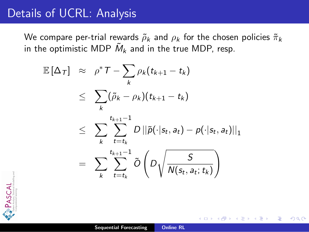We compare per-trial rewards  $\tilde{\rho}_k$  and  $\rho_k$  for the chosen policies  $\tilde{\pi}_k$ in the optimistic MDP  $\tilde{M}_k$  and in the true MDP, resp.

$$
\mathbb{E}[\Delta_{\mathcal{T}}] \approx \rho^* \mathcal{T} - \sum_{k} \rho_k (t_{k+1} - t_k)
$$
\n
$$
\leq \sum_{k} (\tilde{\rho}_k - \rho_k)(t_{k+1} - t_k)
$$
\n
$$
\leq \sum_{k} \sum_{t=t_k}^{t_{k+1}-1} D ||\tilde{p}(\cdot | s_t, a_t) - p(\cdot | s_t, a_t)||_1
$$
\n
$$
= \sum_{k} \sum_{t=t_k}^{t_{k+1}-1} \tilde{O}\left(D \sqrt{\frac{S}{N(s_t, a_t; t_k)}}\right)
$$

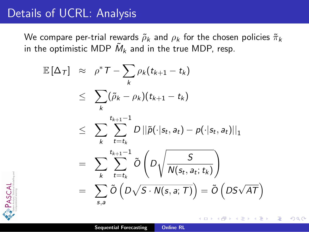PASCAL

We compare per-trial rewards  $\tilde{\rho}_k$  and  $\rho_k$  for the chosen policies  $\tilde{\pi}_k$ in the optimistic MDP  $\tilde{M}_k$  and in the true MDP, resp.

$$
\mathbb{E}[\Delta_{\mathcal{T}}] \approx \rho^* \mathcal{T} - \sum_{k} \rho_k (t_{k+1} - t_k)
$$
\n
$$
\leq \sum_{k} (\tilde{\rho}_k - \rho_k)(t_{k+1} - t_k)
$$
\n
$$
\leq \sum_{k} \sum_{t=t_k}^{t_{k+1}-1} D ||\tilde{p}(\cdot | s_t, a_t) - p(\cdot | s_t, a_t)||_1
$$
\n
$$
= \sum_{k} \sum_{t=t_k}^{t_{k+1}-1} \tilde{O}\left(D \sqrt{\frac{S}{N(s_t, a_t; t_k)}}\right)
$$
\n
$$
= \sum_{s,a} \tilde{O}\left(D \sqrt{S \cdot N(s,a; \mathcal{T})}\right) = \tilde{O}\left(D \sqrt{AT}\right)
$$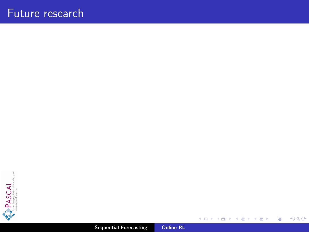

Sequential Forecasting [Online RL](#page-0-0)

**K ロ ト K 御 ト K 毛** 

一 三 ト

 $\rightarrow$ 

重

 $299$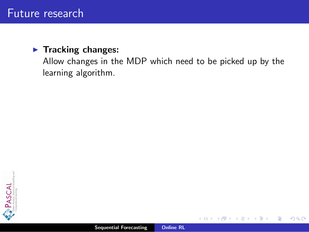#### $\blacktriangleright$  Tracking changes:

Allow changes in the MDP which need to be picked up by the learning algorithm.



 $2Q$ 

扂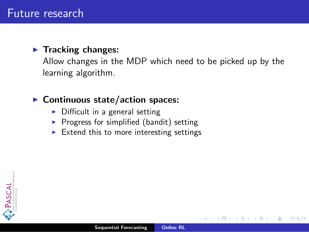#### $\blacktriangleright$  Tracking changes:

Allow changes in the MDP which need to be picked up by the learning algorithm.

#### $\blacktriangleright$  Continuous state/action spaces:

- $\triangleright$  Difficult in a general setting
- $\triangleright$  Progress for simplified (bandit) setting
- $\triangleright$  Extend this to more interesting settings